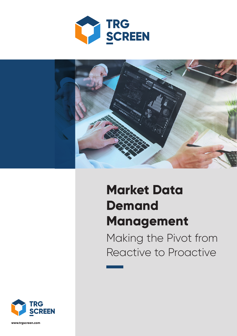



# **Market Data Demand Management**

Making the Pivot from Reactive to Proactive



**www.trgscreen.com**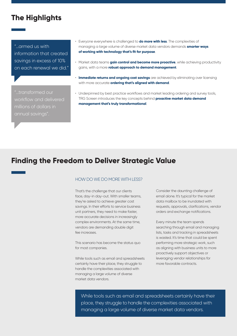# **The Highlights**

"…armed us with information that created savings in excess of 10% on each renewal we did."

"…transformed our workflow and delivered annual savings".

- Everyone everywhere is challenged to **do more with less**. The complexities of managing a large volume of diverse market data vendors demands **smarter ways of working with technology that's fit for purpose**.
- Market data teams **gain control and become more proactive**, while achieving productivity gains, with a more **robust approach to demand management**.
- **Immediate returns and ongoing cost savings** are achieved by eliminating over licensing with more accurate **ordering that's aligned with demand**.
- Underpinned by best practice workflows and market leading ordering and survey tools, TRG Screen introduces the key concepts behind **proactive market data demand management that's truly transformational**.

# **Finding the Freedom to Deliver Strategic Value**

#### HOW DO WE DO MORE WITH LESS?

That's the challenge that our clients face, day-in day-out. With smaller teams, they're asked to achieve greater cost savings. In their efforts to service business unit partners, they need to make faster, more accurate decisions in increasingly complex environments. At the same time, vendors are demanding double digit fee increases.

This scenario has become the status quo for most companies.

While tools such as email and spreadsheets certainly have their place, they struggle to handle the complexities associated with managing a large volume of diverse market data vendors.

Consider the daunting challenge of email alone. It's typical for the market data mailbox to be inundated with requests, approvals, clarifications, vendor orders and exchange notifications.

Every minute the team spends searching through email and managing lists, tasks and tracking in spreadsheets is wasted. It's time that could be spent performing more strategic work, such as aligning with business units to more proactively support objectives or leveraging vendor relationships for more favorable contracts.

While tools such as email and spreadsheets certainly have their place, they struggle to handle the complexities associated with managing a large volume of diverse market data vendors.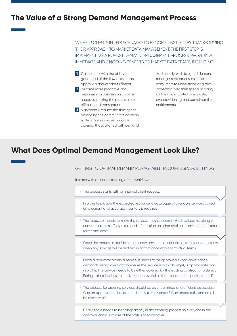## **The Value of a Strong Demand Management Process**

WE HELP CLIENTS IN THIS SCENARIO TO BECOME UNSTUCK BY TRANSFORMING THEIR APPROACH TO MARKET DATA MANAGEMENT. THE FIRST STEP IS IMPLEMENTING A ROBUST DEMAND MANAGEMENT PROCESS, PROVIDING IMMEDIATE AND ONGOING BENEFITS TO MARKET DATA TEAMS, INCLUDING:

**1** Gain control with the ability to get ahead of the flow of requests, approvals and vendor fulfilment. **2** Become more proactive and responsive to business unit partner needs by making the process more efficient and transparent. **3** Significantly reduce the time spent managing the communication chain, while achieving more accurate

ordering that's aligned with demand.

Additionally, well designed demand management processes enable consumers to understand and take ownership over their spend. In doing so, they gain control over waste, overprovisioning and out-of-profile entitlements.

# **What Does Optimal Demand Management Look Like?**

#### GETTING TO OPTIMAL DEMAND MANAGEMENT REQUIRES SEVERAL THINGS.

It starts with an understanding of the workflow:

- The process starts with an internal client request.
- In order to provide the expected response, a catalogue of available services based on a current and accurate inventory is required.
- The requestor needs to know the services they are currently subscribed to, along with contractual terms. They also need information on other available services, contractual terms and costs.
- Once the requestor decides on any new services, or cancellations, they need to know when any savings will be realized in accordance with contractual terms.
- Once a requestor orders a service, it needs to be approved. Good governance demands strong oversight to ensure the service is within budget, is appropriate and in profile. The service needs to be either covered by the existing contract or ordered. Perhaps there's a less expensive option available that meets the requestor's need?
- The process for ordering services should be as streamlined and efficient as possible. Can an approved order be sent directly to the vendor? Can phone calls and email be minimized?
- Finally, there needs to be transparency in the ordering process so everyone in the approval chain is aware of the status of each order.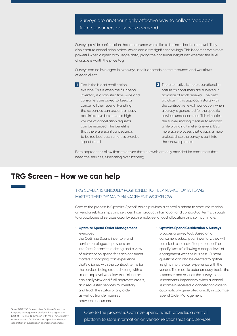## Surveys are another highly effective way to collect feedback from consumers on service demand.

Surveys provide confirmation that a consumer would like to be included in a renewal. They also capture cancellation orders, which can drive significant savings. This becomes even more powerful when aligned with usage data, giving the consumer insight into whether the level of usage is worth the price tag.

Surveys can be leveraged in two ways, and it depends on the resources and workflows of each client.

**1** First is the broad certification exercise. This is when the full spend inventory is distributed firm-wide and consumers are asked to 'keep or cancel' all their spend. Handling the responses can present a heavy administrative burden as a high volume of cancellation requests can be received. The benefit is that there are significant savings to be realized each time this exercise is performed.

**2** The alternative is more operational in nature as consumers are surveyed in advance of each renewal. The best practice in this approach starts with the contract renewal notification, when a survey is generated for the specific services under contract. This simplifies the survey, making it easier to respond while providing timelier answers. It's a more agile process that avoids a major project, since the survey is built into the renewal process.

Both approaches allow firms to ensure that renewals are only provided for consumers that need the services, eliminating over licensing.

## **TRG Screen – How we can help**

## TRG SCREEN IS UNIQUELY POSITIONED TO HELP MARKET DATA TEAMS MASTER THEIR DEMAND MANAGEMENT WORKFLOW.

Core to the process is Optimize Spend<sup>1</sup>, which provides a central platform to store information on vendor relationships and services. From product information and contractual terms, through to a catalogue of services used by each employee for cost allocation and so much more.

## • **Optimize Spend Order Management**

leverages the Optimize Spend inventory and service catalogue. It provides an interface for service ordering and a view of subscription spend for each consumer. It offers a shopping cart experience that's aligned with the contract terms for the services being ordered, along with a smart approval workflow. Administrators can easily view and fulfil approved orders, add requested services to inventory and track the status of any order, as well as transfer licenses between consumers.

#### • **Optimize Spend Certification & Surveys**

provides a survey tool. Based on a consumer's subscription inventory, they will be asked to indicate 'keep or cancel', or specify 'unsure', allowing a deeper level of engagement with the business. Custom questions can also be created to gather insights into the user experience with the vendor. The module autonomously tracks the responses and resends the survey to nonrespondents. Importantly, when a 'cancel' response is received, a cancellation order is automatically generated directly in Optimize Spend Order Management.

<sup>1</sup> As of 2021 TRG Screen offers Optimize Spend as its spend management platform. Building on the best of FITS and INFOmatch with major functionality enhancements, Optimize Spend provides the next generation of subscription spend management.

Core to the process is Optimize Spend, which provides a central platform to store information on vendor relationships and services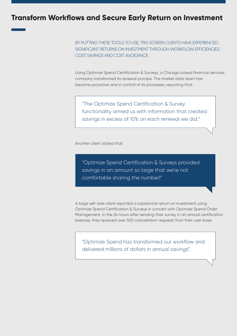## **Transform Workflows and Secure Early Return on Investment**

BY PUTTING THESE TOOLS TO USE, TRG SCREEN CLIENTS HAVE EXPERIENCED SIGNIFICANT RETURNS ON INVESTMENT THROUGH WORKFLOW EFFICIENCIES, COST SAVINGS AND COST AVOIDANCE.

Using Optimize Spend Certification & Surveys, a Chicago based financial services company transformed its renewal process. The market data team has become proactive and in control of its processes, reporting that:

"The Optimize Spend Certification & Survey functionality armed us with information that created savings in excess of 10% on each renewal we did."

Another client stated that:

"Optimize Spend Certification & Surveys provided savings in an amount so large that we're not comfortable sharing the number!"

A large sell-side client reported a substantial return on investment using Optimize Spend Certification & Surveys in concert with Optimize Spend Order Management. In the 24 hours after sending their survey in an annual certification exercise, they received over 500 cancellation requests from their user base.

"Optimize Spend has transformed our workflow and delivered millions of dollars in annual savings".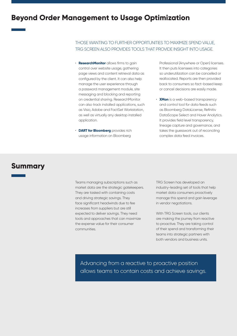# **Beyond Order Management to Usage Optimization**

### THOSE WANTING TO FURTHER OPPORTUNITIES TO MAXIMIZE SPEND VALUE, TRG SCREEN ALSO PROVIDES TOOLS THAT PROVIDE INSIGHT INTO USAGE.

- **ResearchMonitor** allows firms to gain control over website usage, gathering page views and content retrieval data as configured by the client. It can also help manage the user experience through a password management module, site messaging and blocking and reporting on credential sharing. ResearchMonitor can also track installed applications, such as Visio, Adobe and FactSet Workstation, as well as virtually any desktop installed application.
- **DART for Bloomberg** provides rich usage information on Bloomberg

Professional (Anywhere or Open) licenses. It then puts licensees into categories so underutilization can be cancelled or reallocated. Reports are then provided back to consumers so fact-based keep or cancel decisions are easily made.

• **XMon** is a web-based transparency and control tool for data feeds such as Bloomberg DataLicense, Refinitiv DataScope Select and Haver Analytics. It provides field level transparency, lineage capture and governance, and takes the guesswork out of reconciling complex data feed invoices.

## **Summary**

Teams managing subscriptions such as market data are the strategic gatekeepers. They are tasked with containing costs and driving strategic savings. They face significant headwinds due to fee increases from suppliers but are still expected to deliver savings. They need tools and approaches that can maximize the expense value for their consumer communities.

TRG Screen has developed an industry-leading set of tools that help market data consumers proactively manage this spend and gain leverage in vendor negotiations.

With TRG Screen tools, our clients are making the journey from reactive to proactive. They are taking control of their spend and transforming their teams into strategic partners with both vendors and business units.

Advancing from a reactive to proactive position allows teams to contain costs and achieve savings.